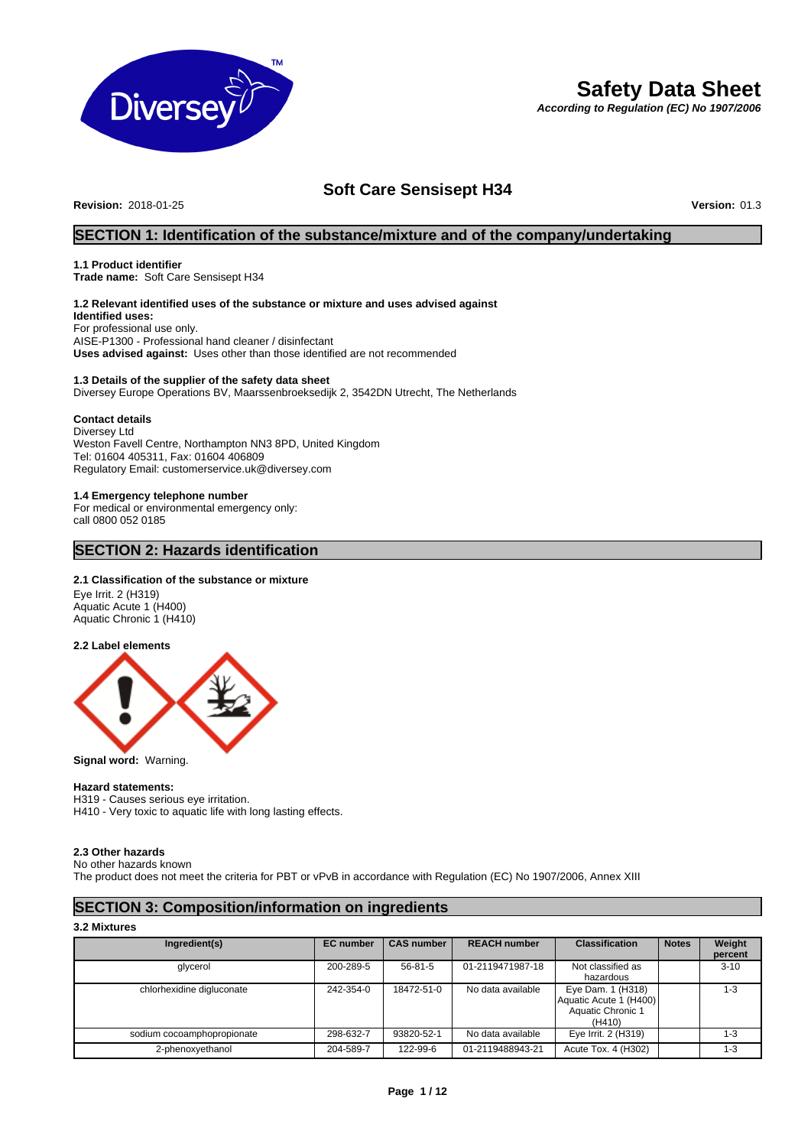

# **Safety Data Sheet**

*According to Regulation (EC) No 1907/2006*

# **Soft Care Sensisept H34**

**Revision:** 2018-01-25 **Version:** 01.3

### **SECTION 1: Identification of the substance/mixture and of the company/undertaking**

### **1.1 Product identifier**

**Trade name:** Soft Care Sensisept H34

## **1.2 Relevant identified uses of the substance or mixture and uses advised against**

**Identified uses:** For professional use only. AISE-P1300 - Professional hand cleaner / disinfectant **Uses advised against:** Uses other than those identified are not recommended

### **1.3 Details of the supplier of the safety data sheet** Diversey Europe Operations BV, Maarssenbroeksedijk 2, 3542DN Utrecht, The Netherlands

### **Contact details**

Diversey Ltd Weston Favell Centre, Northampton NN3 8PD, United Kingdom Tel: 01604 405311, Fax: 01604 406809 Regulatory Email: customerservice.uk@diversey.com

### **1.4 Emergency telephone number**

For medical or environmental emergency only: call 0800 052 0185

### **SECTION 2: Hazards identification**

### **2.1 Classification of the substance or mixture**

Eye Irrit. 2 (H319) Aquatic Acute 1 (H400) Aquatic Chronic 1 (H410)

### **2.2 Label elements**



**Signal word:** Warning.

### **Hazard statements:**

H319 - Causes serious eye irritation. H410 - Very toxic to aquatic life with long lasting effects.

### **2.3 Other hazards**

No other hazards known

The product does not meet the criteria for PBT or vPvB in accordance with Regulation (EC) No 1907/2006, Annex XIII

## **SECTION 3: Composition/information on ingredients**

### **3.2 Mixtures**

| Ingredient(s)              | <b>EC</b> number | <b>CAS number</b> | <b>REACH number</b> | <b>Classification</b>                                                      | <b>Notes</b> | Weight<br>percent |
|----------------------------|------------------|-------------------|---------------------|----------------------------------------------------------------------------|--------------|-------------------|
| glycerol                   | 200-289-5        | 56-81-5           | 01-2119471987-18    | Not classified as<br>hazardous                                             |              | $3 - 10$          |
| chlorhexidine digluconate  | 242-354-0        | 18472-51-0        | No data available   | Eye Dam. 1 (H318)<br>Aquatic Acute 1 (H400)<br>Aquatic Chronic 1<br>(H410) |              | 1-3               |
| sodium cocoamphopropionate | 298-632-7        | 93820-52-1        | No data available   | Eye Irrit. 2 (H319)                                                        |              | $1 - 3$           |
| 2-phenoxyethanol           | 204-589-7        | 122-99-6          | 01-2119488943-21    | Acute Tox. 4 (H302)                                                        |              | 1-3               |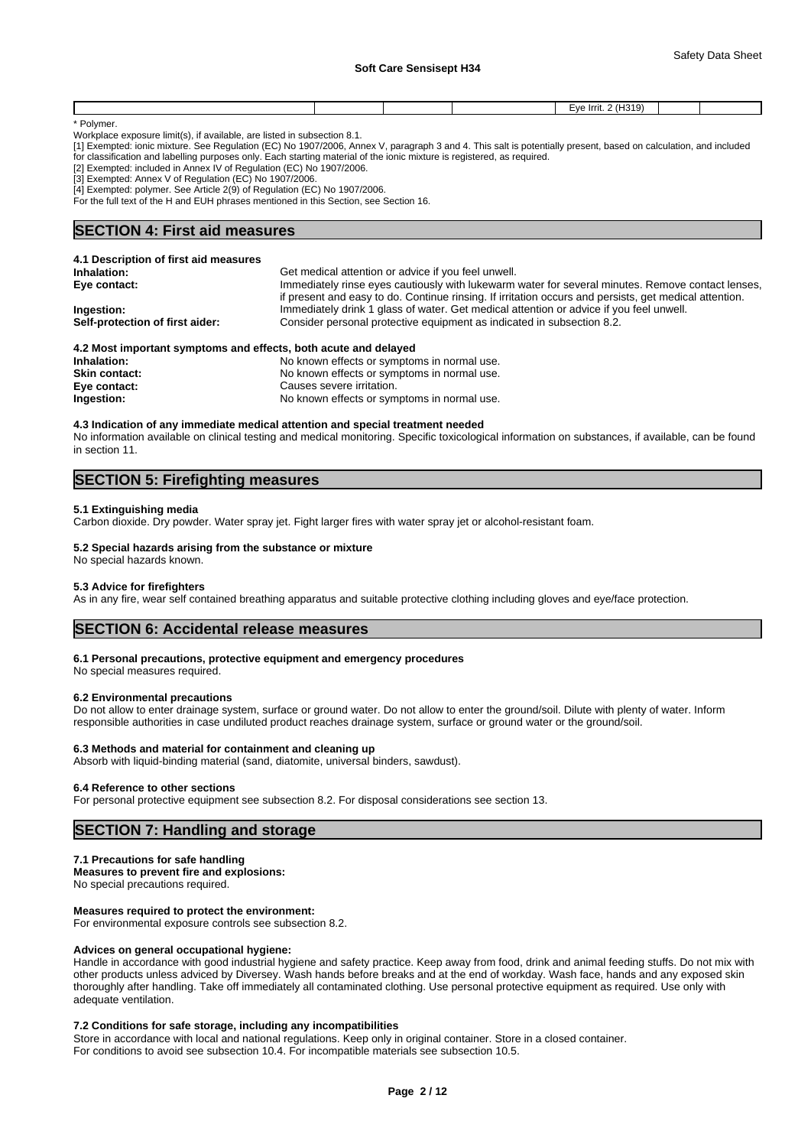|  |  | ٬۱٬<br>$\sim$ |  |
|--|--|---------------|--|
|  |  |               |  |

\* Polymer.

Workplace exposure limit(s), if available, are listed in subsection 8.1.

[1] Exempted: ionic mixture. See Regulation (EC) No 1907/2006, Annex V, paragraph 3 and 4. This salt is potentially present, based on calculation, and included for classification and labelling purposes only. Each starting material of the ionic mixture is registered, as required.

[2] Exempted: included in Annex IV of Regulation (EC) No 1907/2006.

[3] Exempted: Annex V of Regulation (EC) No 1907/2006.

[4] Exempted: polymer. See Article 2(9) of Regulation (EC) No 1907/2006.

For the full text of the H and EUH phrases mentioned in this Section, see Section 16.

### **SECTION 4: First aid measures**

| 4.1 Description of first aid measures                           |                                                                                                                                                                                                             |
|-----------------------------------------------------------------|-------------------------------------------------------------------------------------------------------------------------------------------------------------------------------------------------------------|
| Inhalation:                                                     | Get medical attention or advice if you feel unwell.                                                                                                                                                         |
| Eye contact:                                                    | Immediately rinse eyes cautiously with lukewarm water for several minutes. Remove contact lenses,<br>if present and easy to do. Continue rinsing. If irritation occurs and persists, get medical attention. |
| Ingestion:                                                      | Immediately drink 1 glass of water. Get medical attention or advice if you feel unwell.                                                                                                                     |
| Self-protection of first aider:                                 | Consider personal protective equipment as indicated in subsection 8.2.                                                                                                                                      |
| 4.2 Most important symptoms and effects, both acute and delayed |                                                                                                                                                                                                             |
| Inhalation:                                                     | No known effects or symptoms in normal use.                                                                                                                                                                 |
|                                                                 |                                                                                                                                                                                                             |

| No known effects or symptoms in normal use. |
|---------------------------------------------|
| No known effects or symptoms in normal use. |
| Causes severe irritation.                   |
| No known effects or symptoms in normal use. |
|                                             |

### **4.3 Indication of any immediate medical attention and special treatment needed**

No information available on clinical testing and medical monitoring. Specific toxicological information on substances, if available, can be found in section 11.

## **SECTION 5: Firefighting measures**

### **5.1 Extinguishing media**

Carbon dioxide. Dry powder. Water spray jet. Fight larger fires with water spray jet or alcohol-resistant foam.

### **5.2 Special hazards arising from the substance or mixture**

No special hazards known.

### **5.3 Advice for firefighters**

As in any fire, wear self contained breathing apparatus and suitable protective clothing including gloves and eye/face protection.

### **SECTION 6: Accidental release measures**

**6.1 Personal precautions, protective equipment and emergency procedures**

No special measures required.

### **6.2 Environmental precautions**

Do not allow to enter drainage system, surface or ground water. Do not allow to enter the ground/soil. Dilute with plenty of water. Inform responsible authorities in case undiluted product reaches drainage system, surface or ground water or the ground/soil.

### **6.3 Methods and material for containment and cleaning up**

Absorb with liquid-binding material (sand, diatomite, universal binders, sawdust).

### **6.4 Reference to other sections**

For personal protective equipment see subsection 8.2. For disposal considerations see section 13.

### **SECTION 7: Handling and storage**

### **7.1 Precautions for safe handling**

**Measures to prevent fire and explosions:** No special precautions required.

**Measures required to protect the environment:** For environmental exposure controls see subsection 8.2.

### **Advices on general occupational hygiene:**

Handle in accordance with good industrial hygiene and safety practice. Keep away from food, drink and animal feeding stuffs. Do not mix with other products unless adviced by Diversey. Wash hands before breaks and at the end of workday. Wash face, hands and any exposed skin thoroughly after handling. Take off immediately all contaminated clothing. Use personal protective equipment as required. Use only with adequate ventilation.

### **7.2 Conditions for safe storage, including any incompatibilities**

Store in accordance with local and national regulations. Keep only in original container. Store in a closed container. For conditions to avoid see subsection 10.4. For incompatible materials see subsection 10.5.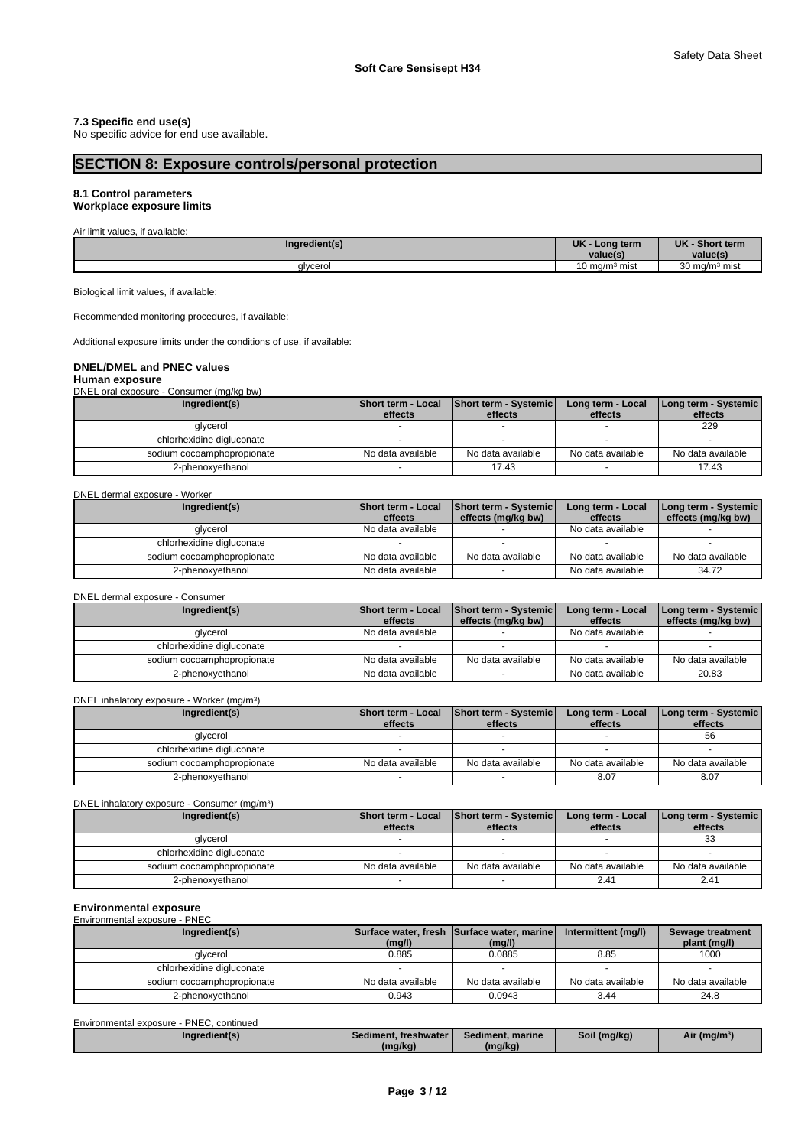### **7.3 Specific end use(s)**

No specific advice for end use available.

## **SECTION 8: Exposure controls/personal protection**

## **8.1 Control parameters**

## **Workplace exposure limits**

| $\sim$<br>Air limit values, if available: |                   |                  |  |
|-------------------------------------------|-------------------|------------------|--|
| Ingredient(s)                             | UK<br>Long term   | UK - Short term  |  |
|                                           | value(s.          | value(s)         |  |
| glycerol                                  | ) ma/mª mist<br>w | 30 mg/m $3$ mist |  |

Biological limit values, if available:

Recommended monitoring procedures, if available:

Additional exposure limits under the conditions of use, if available:

### **DNEL/DMEL and PNEC values**

**Human exposure** DNEL oral exposure - Consumer (mg/kg bw)

| Ingredient(s)              | Short term - Local<br>effects | <b>Short term - Systemic</b><br>effects | Long term - Local<br>effects | Long term - Systemic<br>effects |
|----------------------------|-------------------------------|-----------------------------------------|------------------------------|---------------------------------|
| glycerol                   |                               |                                         |                              | 229                             |
| chlorhexidine digluconate  |                               |                                         |                              |                                 |
| sodium cocoamphopropionate | No data available             | No data available                       | No data available            | No data available               |
| 2-phenoxvethanol           |                               | 17.43                                   |                              | 17.43                           |

### DNEL dermal exposure - Worker

| Ingredient(s)              | <b>Short term - Local</b><br>effects | <b>Short term - Systemic</b><br>effects (mg/kg bw) | Long term - Local<br>effects | Long term - Systemic<br>effects (mg/kg bw) |
|----------------------------|--------------------------------------|----------------------------------------------------|------------------------------|--------------------------------------------|
| glycerol                   | No data available                    |                                                    | No data available            |                                            |
| chlorhexidine digluconate  |                                      |                                                    |                              |                                            |
| sodium cocoamphopropionate | No data available                    | No data available                                  | No data available            | No data available                          |
| 2-phenoxyethanol           | No data available                    |                                                    | No data available            | 34.72                                      |

DNEL dermal exposure - Consumer

| Ingredient(s)              | <b>Short term - Local</b><br>effects | <b>Short term - Systemic</b><br>effects (mg/kg bw) | Long term - Local<br>effects | Long term - Systemic<br>effects (mg/kg bw) |
|----------------------------|--------------------------------------|----------------------------------------------------|------------------------------|--------------------------------------------|
| glycerol                   | No data available                    |                                                    | No data available            |                                            |
| chlorhexidine digluconate  |                                      |                                                    |                              |                                            |
| sodium cocoamphopropionate | No data available                    | No data available                                  | No data available            | No data available                          |
| 2-phenoxyethanol           | No data available                    |                                                    | No data available            | 20.83                                      |

DNEL inhalatory exposure - Worker (mg/m<sup>3</sup>)  $)$ 

| Ingredient(s)              | Short term - Local<br>effects | Short term - Systemic<br>effects | Long term - Local<br>effects | Long term - Systemic<br>effects |
|----------------------------|-------------------------------|----------------------------------|------------------------------|---------------------------------|
| glycerol                   |                               |                                  |                              | 56                              |
| chlorhexidine digluconate  |                               |                                  |                              |                                 |
| sodium cocoamphopropionate | No data available             | No data available                | No data available            | No data available               |
| 2-phenoxvethanol           |                               |                                  | 8.07                         | 8.07                            |

DNEL inhalatory exposure - Consumer (mg/m<sup>3</sup>)

| Ingredient(s)              | Short term - Systemic<br>Short term - Local<br>effects<br>effects |                   | Long term - Local<br>effects | <b>I Long term - Systemic</b><br>effects |
|----------------------------|-------------------------------------------------------------------|-------------------|------------------------------|------------------------------------------|
| glycerol                   |                                                                   |                   |                              | ںں                                       |
| chlorhexidine digluconate  |                                                                   |                   |                              |                                          |
| sodium cocoamphopropionate | No data available                                                 | No data available | No data available            | No data available                        |
| 2-phenoxyethanol           |                                                                   |                   | 2.4'                         | $2.4^{\circ}$                            |

)

# **Environmental exposure** Environmental exposure - PNEC

| Ingredient(s)              | (mg/l)            | Surface water, fresh Surface water, marine<br>(mg/l) | Intermittent (mg/l) | Sewage treatment<br>plant (mg/l) |
|----------------------------|-------------------|------------------------------------------------------|---------------------|----------------------------------|
| glycerol                   | 0.885             | 0.0885                                               | 8.85                | 1000                             |
| chlorhexidine digluconate  |                   |                                                      |                     |                                  |
| sodium cocoamphopropionate | No data available | No data available                                    | No data available   | No data available                |
| 2-phenoxvethanol           | 0.943             | 0.0943                                               | 3.44                | 24.8                             |

Environmental exposure - PNEC, continued

| //naredient(s | Sediment, freshwater | Sediment, marine | Soil (mg/kg) | Air (mg/m <sup>3)</sup> |
|---------------|----------------------|------------------|--------------|-------------------------|
|               | (mg/kg)              | (mg/kg)          |              |                         |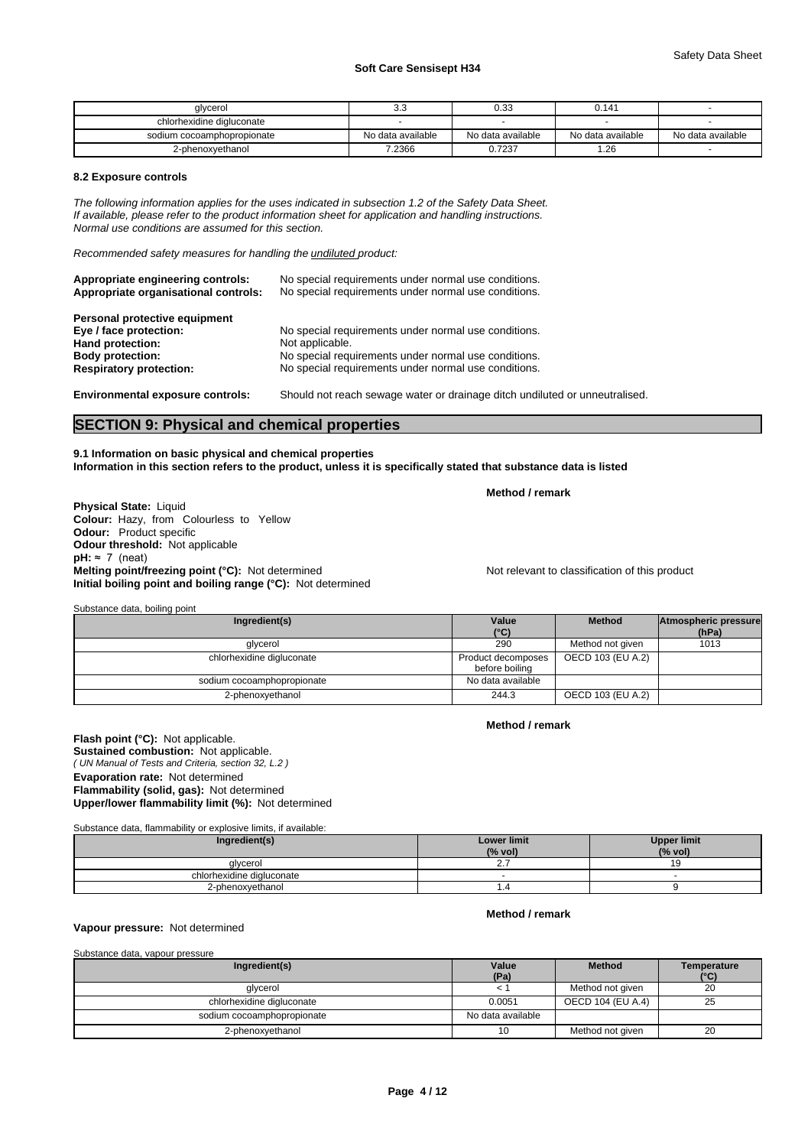| alvcerol                   | v.v               | 0.33              | 0.141             |                   |
|----------------------------|-------------------|-------------------|-------------------|-------------------|
| chlorhexidine digluconate  |                   |                   |                   |                   |
| sodium cocoamphopropionate | No data available | No data available | No data available | No data available |
| 2-phenoxyethanol           | 7.2366            | 0.7237            | l.26              |                   |

### **8.2 Exposure controls**

*The following information applies for the uses indicated in subsection 1.2 of the Safety Data Sheet. If available, please refer to the product information sheet for application and handling instructions. Normal use conditions are assumed for this section.*

*Recommended safety measures for handling the undiluted product:*

| Appropriate engineering controls:<br>Appropriate organisational controls: | No special requirements under normal use conditions.<br>No special requirements under normal use conditions. |
|---------------------------------------------------------------------------|--------------------------------------------------------------------------------------------------------------|
| Personal protective equipment                                             |                                                                                                              |
| Eye / face protection:                                                    | No special requirements under normal use conditions.                                                         |
| Hand protection:                                                          | Not applicable.                                                                                              |
| <b>Body protection:</b>                                                   | No special requirements under normal use conditions.                                                         |
| <b>Respiratory protection:</b>                                            | No special requirements under normal use conditions.                                                         |
| <b>Environmental exposure controls:</b>                                   | Should not reach sewage water or drainage ditch undiluted or unneutralised.                                  |

### **SECTION 9: Physical and chemical properties**

### **9.1 Information on basic physical and chemical properties Information in this section refers to the product, unless it is specifically stated that substance data is listed**

**Method / remark**

**Physical State:** Liquid **Colour:** Hazy, from Colourless to Yellow **Odour:** Product specific **Odour threshold:** Not applicable  $pH: \approx 7$  (neat) **Melting point/freezing point (°C):** Not determined Not relevant to classification of this product **Initial boiling point and boiling range (°C):** Not determined

Substance data, boiling point

| Ingredient(s)              | Value                                | <b>Method</b>     | Atmospheric pressure |  |
|----------------------------|--------------------------------------|-------------------|----------------------|--|
|                            | $(^{\circ}C)$                        |                   | (hPa)                |  |
| glycerol                   | 290                                  | Method not given  | 1013                 |  |
| chlorhexidine digluconate  | Product decomposes<br>before boiling | OECD 103 (EU A.2) |                      |  |
| sodium cocoamphopropionate | No data available                    |                   |                      |  |
| 2-phenoxyethanol           | 244.3                                | OECD 103 (EU A.2) |                      |  |

### **Method / remark**

**Method / remark**

*( UN Manual of Tests and Criteria, section 32, L.2 )* **Flash point (°C):** Not applicable. **Sustained combustion:** Not applicable. **Evaporation rate:** Not determined **Flammability (solid, gas):** Not determined **Upper/lower flammability limit (%):** Not determined

Substance data, flammability or explosive limits, if available:

| Ingredient(s)             | <b>Lower limit</b><br>(% vol) | <b>Upper limit</b><br>(% vol) |
|---------------------------|-------------------------------|-------------------------------|
| alvcerol                  | <u>.</u>                      |                               |
| chlorhexidine digluconate |                               |                               |
| 2-phenoxyethanol          |                               |                               |

**Vapour pressure:** Not determined

| Substance data, vapour pressure |                   |                   |                     |
|---------------------------------|-------------------|-------------------|---------------------|
| Ingredient(s)                   | Value<br>(Pa)     | <b>Method</b>     | Temperature<br>(°C) |
| glycerol                        |                   | Method not given  | 20                  |
| chlorhexidine digluconate       | 0.0051            | OECD 104 (EU A.4) | 25                  |
| sodium cocoamphopropionate      | No data available |                   |                     |
| 2-phenoxyethanol                | 10                | Method not given  | 20                  |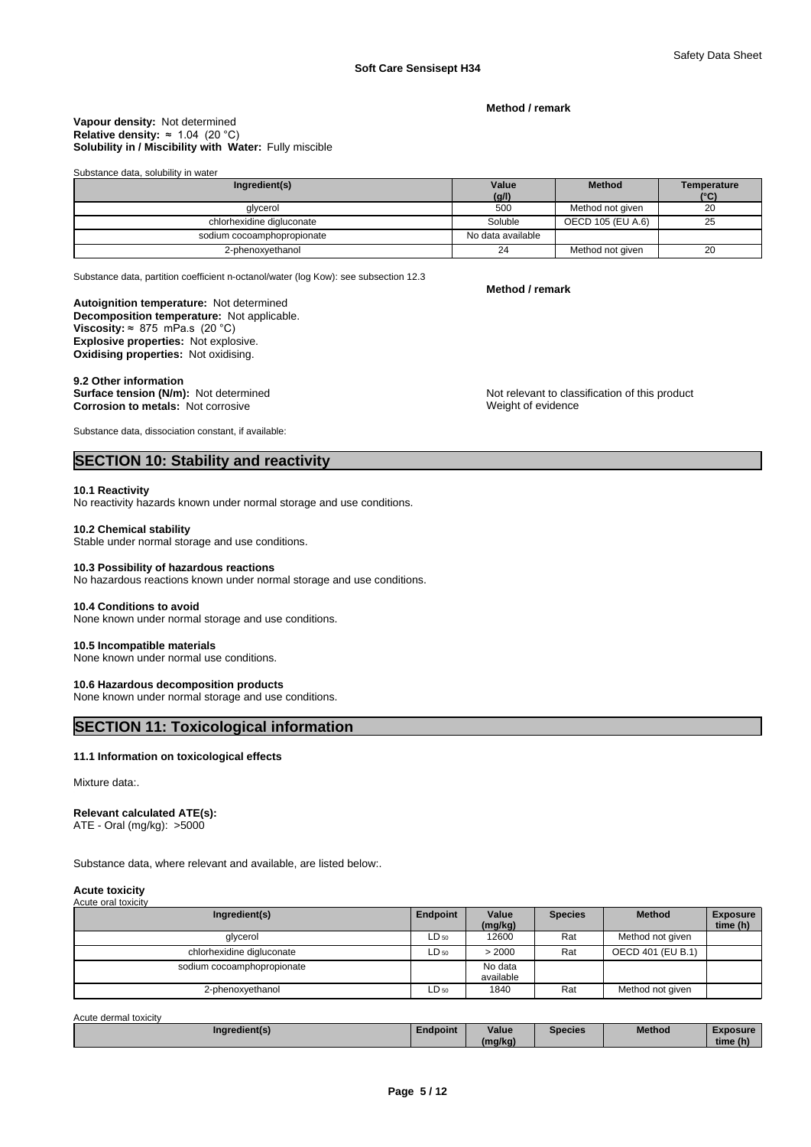**Method / remark**

### **Solubility in / Miscibility with Water:** Fully miscible **Vapour density:** Not determined **Relative density:** ≈1.04(20°C)

Substance data, solubility in water

| Ingredient(s)              | Value             | <b>Method</b>     | Temperature   |
|----------------------------|-------------------|-------------------|---------------|
|                            | (g/l)             |                   | $(^{\circ}C)$ |
| glycerol                   | 500               | Method not given  | 20            |
| chlorhexidine digluconate  | Soluble           | OECD 105 (EU A.6) | 25            |
| sodium cocoamphopropionate | No data available |                   |               |
| 2-phenoxyethanol           | 24                | Method not given  | 20            |

Substance data, partition coefficient n-octanol/water (log Kow): see subsection 12.3

### **Autoignition temperature:** Not determined

**Decomposition temperature:** Not applicable. **Viscosity:**  $\approx 875$  mPa.s (20 °C) **Explosive properties:** Not explosive. **Oxidising properties:** Not oxidising.

9.2 Other information<br>Surface tension (N/m): Not determined **Corrosion to metals:** Not corrosive

Substance data, dissociation constant, if available:

## **SECTION 10: Stability and reactivity**

### **10.1 Reactivity**

No reactivity hazards known under normal storage and use conditions.

### **10.2 Chemical stability**

Stable under normal storage and use conditions.

### **10.3 Possibility of hazardous reactions**

No hazardous reactions known under normal storage and use conditions.

### **10.4 Conditions to avoid**

None known under normal storage and use conditions.

### **10.5 Incompatible materials**

None known under normal use conditions.

### **10.6 Hazardous decomposition products**

None known under normal storage and use conditions.

### **SECTION 11: Toxicological information**

### **11.1 Information on toxicological effects**

Mixture data:.

### **Relevant calculated ATE(s):**

ATE - Oral (mg/kg): >5000

Substance data, where relevant and available, are listed below:.

### **Acute toxicity** Acute oral toxicity

| Ingredient(s)              | Endpoint  | Value<br>(mg/kg)     | <b>Species</b> | <b>Method</b>     | <b>Exposure</b><br>time (h) |
|----------------------------|-----------|----------------------|----------------|-------------------|-----------------------------|
| glycerol                   | $LD_{50}$ | 12600                | Rat            | Method not given  |                             |
| chlorhexidine digluconate  | $LD_{50}$ | > 2000               | Rat            | OECD 401 (EU B.1) |                             |
| sodium cocoamphopropionate |           | No data<br>available |                |                   |                             |
| 2-phenoxyethanol           | $LD_{50}$ | 1840                 | Rat            | Method not given  |                             |

### Acute dermal toxicity

| Ingredient(s) | <b>Endpoint</b> | Value    | Species | <b>Method</b><br>_____ | <b>YDOSUre</b><br>$\sim$ |
|---------------|-----------------|----------|---------|------------------------|--------------------------|
|               |                 | 'ma/ka). |         |                        | time (h)                 |

### **Method / remark**

Not relevant to classification of this product Weight of evidence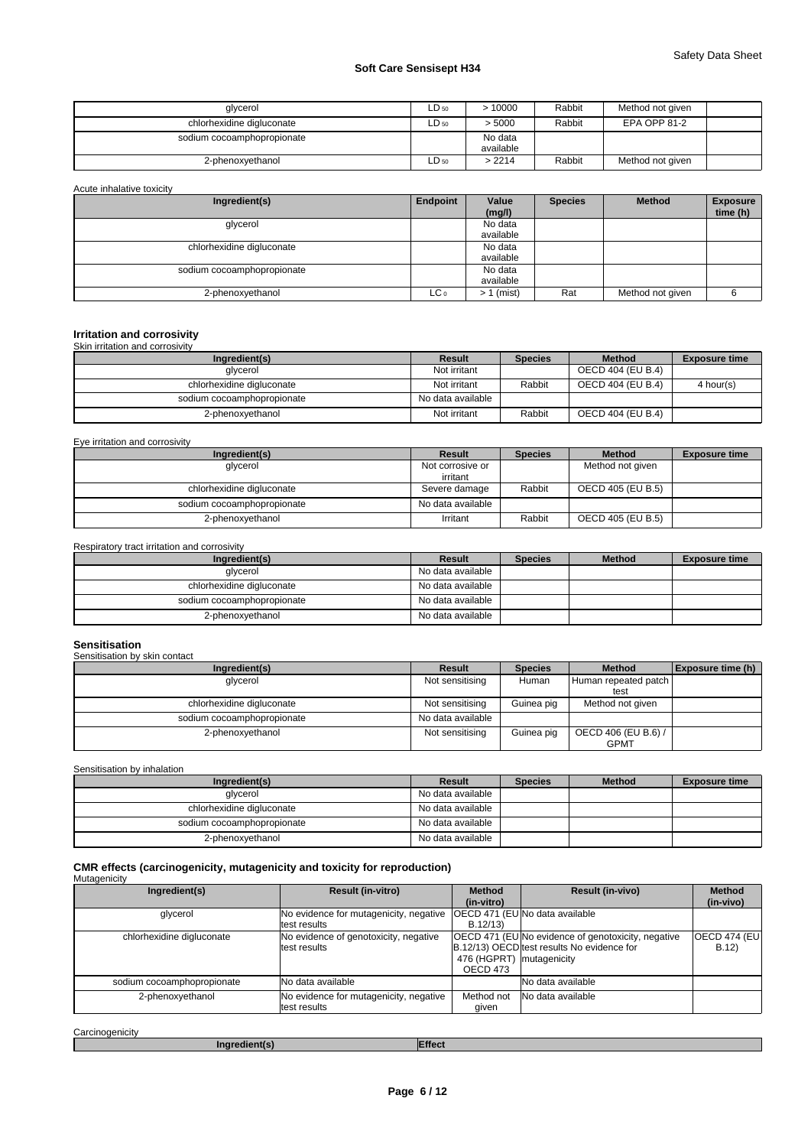| glycerol                   | ∟D 50 | >10000               | Rabbit | Method not given |
|----------------------------|-------|----------------------|--------|------------------|
| chlorhexidine digluconate  | ∟D 50 | > 5000               | Rabbit | EPA OPP 81-2     |
| sodium cocoamphopropionate |       | No data<br>available |        |                  |
| 2-phenoxyethanol           | ∟D 50 | >2214                | Rabbit | Method not given |

| Acute inhalative toxicity  |          |                 |                |                  |                             |
|----------------------------|----------|-----------------|----------------|------------------|-----------------------------|
| Ingredient(s)              | Endpoint | Value<br>(mg/l) | <b>Species</b> | <b>Method</b>    | <b>Exposure</b><br>time (h) |
| glycerol                   |          | No data         |                |                  |                             |
|                            |          | available       |                |                  |                             |
| chlorhexidine digluconate  |          | No data         |                |                  |                             |
|                            |          | available       |                |                  |                             |
| sodium cocoamphopropionate |          | No data         |                |                  |                             |
|                            |          | available       |                |                  |                             |
| 2-phenoxyethanol           | LC 0     | $> 1$ (mist)    | Rat            | Method not given |                             |

### **Irritation and corrosivity** irritation and

| <b>ONIL ILLIQUOLL QUU COLLUSIVILY</b> |                   |                |                   |                      |
|---------------------------------------|-------------------|----------------|-------------------|----------------------|
| Ingredient(s)                         | Result            | <b>Species</b> | <b>Method</b>     | <b>Exposure time</b> |
| glycerol                              | Not irritant      |                | OECD 404 (EU B.4) |                      |
| chlorhexidine digluconate             | Not irritant      | Rabbit         | OECD 404 (EU B.4) | 4 hour(s)            |
| sodium cocoamphopropionate            | No data available |                |                   |                      |
| 2-phenoxyethanol                      | Not irritant      | Rabbit         | OECD 404 (EU B.4) |                      |

Eye irritation and corrosivity

| Ingredient(s)              | Result            | <b>Species</b> | <b>Method</b>     | <b>Exposure time</b> |
|----------------------------|-------------------|----------------|-------------------|----------------------|
| glycerol                   | Not corrosive or  |                | Method not given  |                      |
|                            | irritant          |                |                   |                      |
| chlorhexidine digluconate  | Severe damage     | Rabbit         | OECD 405 (EU B.5) |                      |
| sodium cocoamphopropionate | No data available |                |                   |                      |
| 2-phenoxyethanol           | Irritant          | Rabbit         | OECD 405 (EU B.5) |                      |

Respiratory tract irritation and corrosivity

| Ingredient(s)              | Result            | <b>Species</b> | <b>Method</b> | <b>Exposure time</b> |
|----------------------------|-------------------|----------------|---------------|----------------------|
| glycerol                   | No data available |                |               |                      |
| chlorhexidine digluconate  | No data available |                |               |                      |
| sodium cocoamphopropionate | No data available |                |               |                      |
| 2-phenoxyethanol           | No data available |                |               |                      |

### **Sensitisation**

Sensitisation by skin contact

| Ingredient(s)              | Result            | <b>Species</b> | <b>Method</b>        | Exposure time (h) |
|----------------------------|-------------------|----------------|----------------------|-------------------|
| glycerol                   | Not sensitising   | Human          | Human repeated patch |                   |
|                            |                   |                | test                 |                   |
| chlorhexidine digluconate  | Not sensitising   | Guinea pig     | Method not given     |                   |
| sodium cocoamphopropionate | No data available |                |                      |                   |
| 2-phenoxyethanol           | Not sensitising   | Guinea pig     | OECD 406 (EU B.6) /  |                   |
|                            |                   |                | <b>GPMT</b>          |                   |

Sensitisation by inhalation

| Ingredient(s)              | Result            | <b>Species</b> | <b>Method</b> | <b>Exposure time</b> |
|----------------------------|-------------------|----------------|---------------|----------------------|
| glycerol                   | No data available |                |               |                      |
| chlorhexidine digluconate  | No data available |                |               |                      |
| sodium cocoamphopropionate | No data available |                |               |                      |
| 2-phenoxyethanol           | No data available |                |               |                      |

# **CMR effects (carcinogenicity, mutagenicity and toxicity for reproduction)** Mutagenicity

| Ingredient(s)              | <b>Result (in-vitro)</b>                                | <b>Method</b><br>(in-vitro)          | <b>Result (in-vivo)</b>                                                                                 | <b>Method</b><br>(in-vivo)   |
|----------------------------|---------------------------------------------------------|--------------------------------------|---------------------------------------------------------------------------------------------------------|------------------------------|
| glycerol                   | No evidence for mutagenicity, negative<br>ltest results | B.12/13                              | OECD 471 (EU No data available                                                                          |                              |
| chlorhexidine digluconate  | No evidence of genotoxicity, negative<br>ltest results  | 476 (HGPRT) mutagenicity<br>OECD 473 | <b>OECD 471 (EU No evidence of genotoxicity, negative</b><br>B.12/13) OECD test results No evidence for | <b>OECD 474 (EU)</b><br>B.12 |
| sodium cocoamphopropionate | No data available                                       |                                      | No data available                                                                                       |                              |
| 2-phenoxyethanol           | No evidence for mutagenicity, negative<br>ltest results | Method not<br>given                  | No data available                                                                                       |                              |

**Carcinogenicity** 

**Ingredient(s) Effect**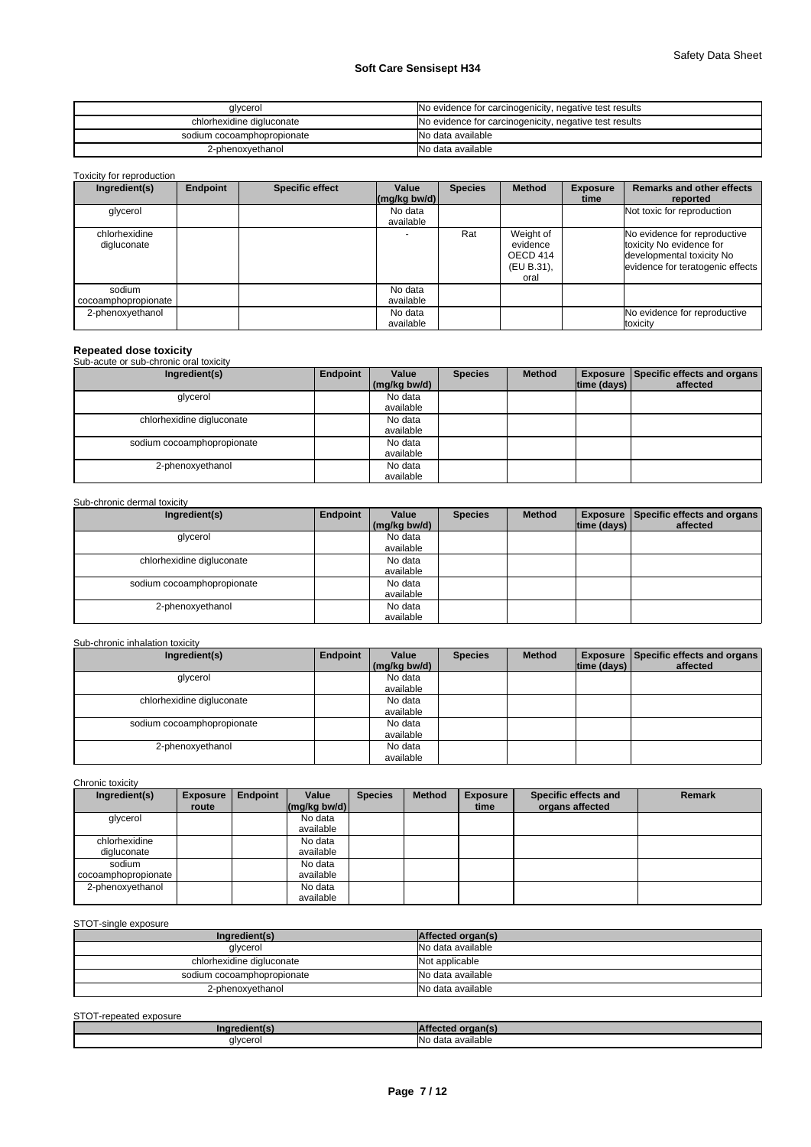| glycerol                   | No evidence for carcinogenicity, negative test results |
|----------------------------|--------------------------------------------------------|
| chlorhexidine digluconate  | No evidence for carcinogenicity, negative test results |
| sodium cocoamphopropionate | No data available                                      |
| 2-phenoxyethanol           | No data available                                      |

Toxicity for reproduction

| Ingredient(s)                 | Endpoint | <b>Specific effect</b> | Value<br>$\left \frac{\text{mg}}{\text{kg}}\text{bw/d}\right $ | <b>Species</b> | <b>Method</b>                                           | <b>Exposure</b><br>time | <b>Remarks and other effects</b><br>reported                                                                              |
|-------------------------------|----------|------------------------|----------------------------------------------------------------|----------------|---------------------------------------------------------|-------------------------|---------------------------------------------------------------------------------------------------------------------------|
| glycerol                      |          |                        | No data<br>available                                           |                |                                                         |                         | Not toxic for reproduction                                                                                                |
| chlorhexidine<br>digluconate  |          |                        |                                                                | Rat            | Weight of<br>evidence<br>OECD 414<br>(EU B.31),<br>oral |                         | No evidence for reproductive<br>toxicity No evidence for<br>developmental toxicity No<br>evidence for teratogenic effects |
| sodium<br>cocoamphopropionate |          |                        | No data<br>available                                           |                |                                                         |                         |                                                                                                                           |
| 2-phenoxyethanol              |          |                        | No data<br>available                                           |                |                                                         |                         | No evidence for reproductive<br>toxicity                                                                                  |

**Repeated dose toxicity** Sub-acute or sub-chronic oral toxicity

| Ingredient(s)              | Endpoint | Value        | <b>Species</b> | <b>Method</b> |                             | <b>Exposure   Specific effects and organs  </b> |
|----------------------------|----------|--------------|----------------|---------------|-----------------------------|-------------------------------------------------|
|                            |          | (mg/kg bw/d) |                |               | $\vert$ time (days) $\vert$ | affected                                        |
| glycerol                   |          | No data      |                |               |                             |                                                 |
|                            |          | available    |                |               |                             |                                                 |
| chlorhexidine digluconate  |          | No data      |                |               |                             |                                                 |
|                            |          | available    |                |               |                             |                                                 |
| sodium cocoamphopropionate |          | No data      |                |               |                             |                                                 |
|                            |          | available    |                |               |                             |                                                 |
| 2-phenoxyethanol           |          | No data      |                |               |                             |                                                 |
|                            |          | available    |                |               |                             |                                                 |

### Sub-chronic dermal toxicity

| Ingredient(s)              | Endpoint | Value        | <b>Species</b> | <b>Method</b> |             | <b>Exposure   Specific effects and organs  </b> |
|----------------------------|----------|--------------|----------------|---------------|-------------|-------------------------------------------------|
|                            |          | (mg/kg bw/d) |                |               | time (days) | affected                                        |
| glycerol                   |          | No data      |                |               |             |                                                 |
|                            |          | available    |                |               |             |                                                 |
| chlorhexidine digluconate  |          | No data      |                |               |             |                                                 |
|                            |          | available    |                |               |             |                                                 |
| sodium cocoamphopropionate |          | No data      |                |               |             |                                                 |
|                            |          | available    |                |               |             |                                                 |
| 2-phenoxyethanol           |          | No data      |                |               |             |                                                 |
|                            |          | available    |                |               |             |                                                 |

### Sub-chronic inhalation toxicity

| Ingredient(s)              | Endpoint | Value        | <b>Species</b> | <b>Method</b> |             | <b>Exposure   Specific effects and organs  </b> |
|----------------------------|----------|--------------|----------------|---------------|-------------|-------------------------------------------------|
|                            |          | (mg/kg bw/d) |                |               | time (days) | affected                                        |
| glycerol                   |          | No data      |                |               |             |                                                 |
|                            |          | available    |                |               |             |                                                 |
| chlorhexidine digluconate  |          | No data      |                |               |             |                                                 |
|                            |          | available    |                |               |             |                                                 |
| sodium cocoamphopropionate |          | No data      |                |               |             |                                                 |
|                            |          | available    |                |               |             |                                                 |
| 2-phenoxyethanol           |          | No data      |                |               |             |                                                 |
|                            |          | available    |                |               |             |                                                 |

Chronic toxicity

| Ingredient(s)                 | <b>Exposure</b> | Endpoint | Value                 | <b>Species</b> | <b>Method</b> | <b>Exposure</b> | Specific effects and | <b>Remark</b> |
|-------------------------------|-----------------|----------|-----------------------|----------------|---------------|-----------------|----------------------|---------------|
|                               | route           |          | $\frac{mq}{kq}$ bw/d) |                |               | time            | organs affected      |               |
| glycerol                      |                 |          | No data<br>available  |                |               |                 |                      |               |
| chlorhexidine<br>digluconate  |                 |          | No data<br>available  |                |               |                 |                      |               |
| sodium<br>cocoamphopropionate |                 |          | No data<br>available  |                |               |                 |                      |               |
| 2-phenoxyethanol              |                 |          | No data<br>available  |                |               |                 |                      |               |

### STOT-single exposure

| Ingredient(s)              | Affected organ(s) |
|----------------------------|-------------------|
| glycerol                   | No data available |
| chlorhexidine digluconate  | Not applicable    |
| sodium cocoamphopropionate | No data available |
| 2-phenoxyethanol           | No data available |

### STOT-repeated exposure

| /ingredient    | н                                           |
|----------------|---------------------------------------------|
| alvcero<br>- 1 | <br><b>INo</b><br>o data available<br><br>. |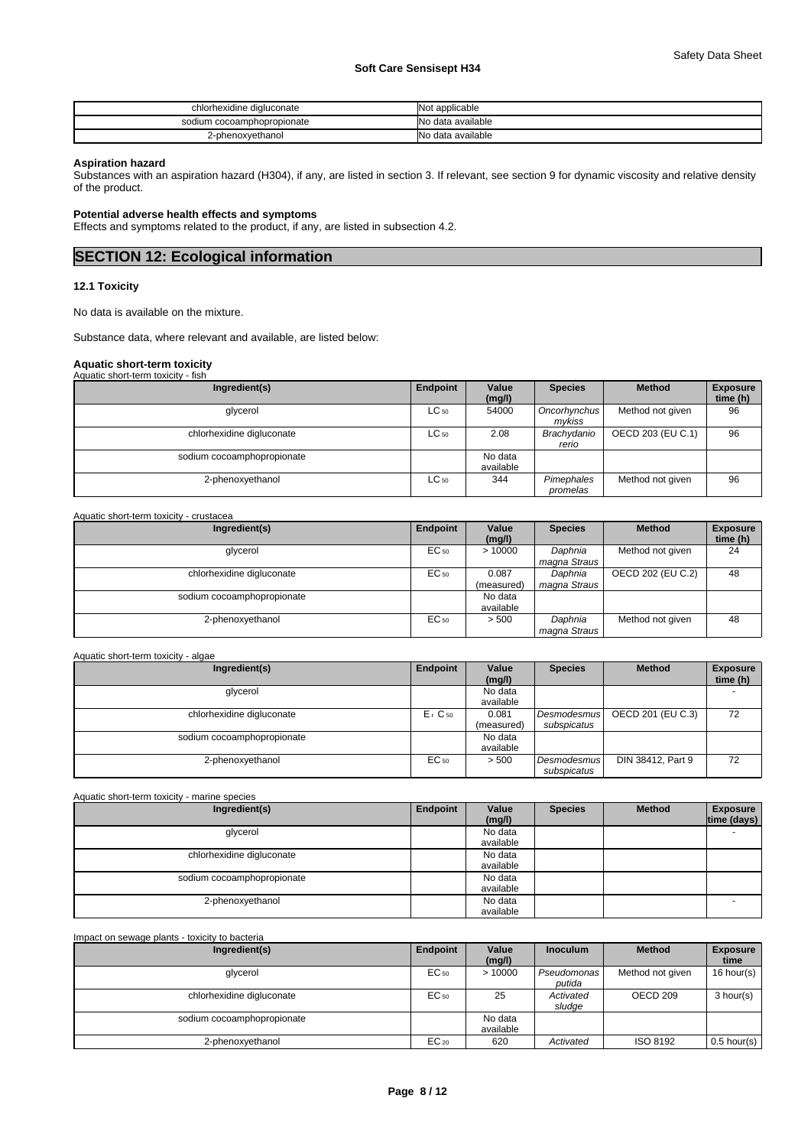| chlorhexidine digluconate  | <b>Not applicable</b> |
|----------------------------|-----------------------|
| sodium cocoamphopropionate | No data available     |
| 2-phenoxvethanol           | No data available     |

### **Aspiration hazard**

Substances with an aspiration hazard (H304), if any, are listed in section 3. If relevant, see section 9 for dynamic viscosity and relative density of the product.

### **Potential adverse health effects and symptoms**

Effects and symptoms related to the product, if any, are listed in subsection 4.2.

### **SECTION 12: Ecological information**

### **12.1 Toxicity**

No data is available on the mixture.

Substance data, where relevant and available, are listed below:

# **Aquatic short-term toxicity** Aquatic short-term toxicity - fish

| Aguatic Silvit-term toxicity - iisii |           |                      |                        |                   |                             |
|--------------------------------------|-----------|----------------------|------------------------|-------------------|-----------------------------|
| Ingredient(s)                        | Endpoint  | Value<br>(mg/l)      | <b>Species</b>         | <b>Method</b>     | <b>Exposure</b><br>time (h) |
| glycerol                             | $LC_{50}$ | 54000                | Oncorhynchus<br>mvkiss | Method not given  | 96                          |
| chlorhexidine digluconate            | $LC_{50}$ | 2.08                 | Brachydanio<br>rerio   | OECD 203 (EU C.1) | 96                          |
| sodium cocoamphopropionate           |           | No data<br>available |                        |                   |                             |
| 2-phenoxyethanol                     | $LC_{50}$ | 344                  | Pimephales<br>promelas | Method not given  | 96                          |

### Aquatic short-term toxicity - crustacea

| Ingredient(s)              | Endpoint | Value<br>(mg/l)      | <b>Species</b>          | <b>Method</b>     | <b>Exposure</b><br>time (h) |
|----------------------------|----------|----------------------|-------------------------|-------------------|-----------------------------|
| glycerol                   | EC 50    | >10000               | Daphnia<br>magna Straus | Method not given  | 24                          |
| chlorhexidine digluconate  | EC 50    | 0.087<br>(measured)  | Daphnia<br>magna Straus | OECD 202 (EU C.2) | 48                          |
| sodium cocoamphopropionate |          | No data<br>available |                         |                   |                             |
| 2-phenoxyethanol           | EC 50    | > 500                | Daphnia<br>magna Straus | Method not given  | 48                          |

### Aquatic short-term toxicity - algae

| Ingredient(s)              | Endpoint             | Value<br>(mg/l)      | <b>Species</b>             | <b>Method</b>     | <b>Exposure</b><br>time (h) |
|----------------------------|----------------------|----------------------|----------------------------|-------------------|-----------------------------|
| glycerol                   |                      | No data<br>available |                            |                   |                             |
| chlorhexidine digluconate  | $Er$ C <sub>50</sub> | 0.081<br>(measured)  | Desmodesmus<br>subspicatus | OECD 201 (EU C.3) | 72                          |
| sodium cocoamphopropionate |                      | No data<br>available |                            |                   |                             |
| 2-phenoxyethanol           | EC <sub>50</sub>     | > 500                | Desmodesmus<br>subspicatus | DIN 38412, Part 9 | 72                          |

| Aquatic short-term toxicity - marine species |          |                 |                |               |                                |
|----------------------------------------------|----------|-----------------|----------------|---------------|--------------------------------|
| Ingredient(s)                                | Endpoint | Value<br>(mg/l) | <b>Species</b> | <b>Method</b> | <b>Exposure</b><br>time (days) |
| glycerol                                     |          | No data         |                |               |                                |
|                                              |          | available       |                |               |                                |
| chlorhexidine digluconate                    |          | No data         |                |               |                                |
|                                              |          | available       |                |               |                                |
| sodium cocoamphopropionate                   |          | No data         |                |               |                                |
|                                              |          | available       |                |               |                                |
| 2-phenoxyethanol                             |          | No data         |                |               |                                |
|                                              |          | available       |                |               |                                |

### Impact on sewage plants - toxicity to bacteria **Ingredient(s) Endpoint Value Inoculum (mg/l) Industrial Method Exposure time**  glycerol **EC<sub>50</sub>** | > 10000 *| Pseudomonas* | Method not given | 16 hour(s) | Nethod not given | 16 hour(s) | Nethod not given | 16 hour(s) | Nethod not given | 16 hour(s) | Nethod not given | 16 hour(s) | Nethod not given *putida* chlorhexidine digluconate **EC<sub>50</sub>** 25 *Activated sludge* OECD 209 3 hour(s) sodium cocoamphopropionate No data available 2-phenoxyethanol EC<sup>20</sup> 620 *Activated* ISO 8192 0.5 hour(s)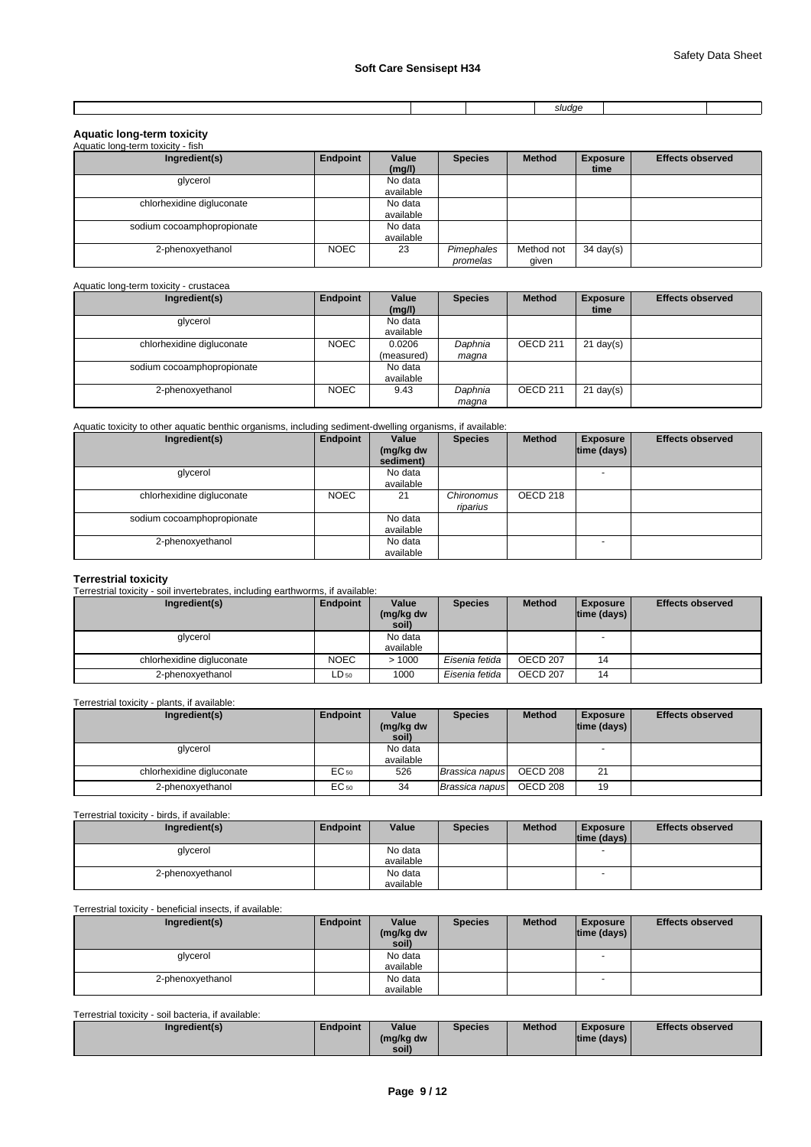|  | $\sim$ $\sim$ $\sim$<br>siuuut. |  |
|--|---------------------------------|--|

### **Aquatic long-term toxicity**

| Aquatic long-term toxicity - fish |             |           |                        |                     |                     |                         |
|-----------------------------------|-------------|-----------|------------------------|---------------------|---------------------|-------------------------|
| Ingredient(s)                     | Endpoint    | Value     | <b>Species</b>         | <b>Method</b>       | <b>Exposure</b>     | <b>Effects observed</b> |
|                                   |             | (mg/l)    |                        |                     | time                |                         |
| glycerol                          |             | No data   |                        |                     |                     |                         |
|                                   |             | available |                        |                     |                     |                         |
| chlorhexidine digluconate         |             | No data   |                        |                     |                     |                         |
|                                   |             | available |                        |                     |                     |                         |
| sodium cocoamphopropionate        |             | No data   |                        |                     |                     |                         |
|                                   |             | available |                        |                     |                     |                         |
| 2-phenoxyethanol                  | <b>NOEC</b> | 23        | Pimephales<br>promelas | Method not<br>given | $34 \text{ day}(s)$ |                         |

### Aquatic long-term toxicity - crustacea

| Ingredient(s)              | Endpoint    | Value      | <b>Species</b> | <b>Method</b> | <b>Exposure</b>     | <b>Effects observed</b> |
|----------------------------|-------------|------------|----------------|---------------|---------------------|-------------------------|
|                            |             | (mg/l)     |                |               | time                |                         |
| glycerol                   |             | No data    |                |               |                     |                         |
|                            |             | available  |                |               |                     |                         |
| chlorhexidine digluconate  | <b>NOEC</b> | 0.0206     | Daphnia        | OECD 211      | $21 \text{ day}(s)$ |                         |
|                            |             | (measured) | magna          |               |                     |                         |
| sodium cocoamphopropionate |             | No data    |                |               |                     |                         |
|                            |             | available  |                |               |                     |                         |
| 2-phenoxyethanol           | <b>NOEC</b> | 9.43       | Daphnia        | OECD 211      | $21$ day(s)         |                         |
|                            |             |            | magna          |               |                     |                         |

Aquatic toxicity to other aquatic benthic organisms, including sediment-dwelling organisms, if available:

| Ingredient(s)              | Endpoint    | Value<br>(mg/kg dw<br>sediment) | <b>Species</b>         | <b>Method</b> | <b>Exposure</b><br>$ time$ (days) $ $ | <b>Effects observed</b> |
|----------------------------|-------------|---------------------------------|------------------------|---------------|---------------------------------------|-------------------------|
| glycerol                   |             | No data                         |                        |               |                                       |                         |
|                            |             | available                       |                        |               |                                       |                         |
| chlorhexidine digluconate  | <b>NOEC</b> | 21                              | Chironomus<br>riparius | OECD 218      |                                       |                         |
| sodium cocoamphopropionate |             | No data                         |                        |               |                                       |                         |
|                            |             | available                       |                        |               |                                       |                         |
| 2-phenoxyethanol           |             | No data                         |                        |               |                                       |                         |
|                            |             | available                       |                        |               |                                       |                         |

**Terrestrial toxicity** Terrestrial toxicity - soil invertebrates, including earthworms, if available:

| Ingredient(s)             | Endpoint    | Value<br>(mg/kg dw   | <b>Species</b> | <b>Method</b> | <b>Exposure</b><br>$ time$ (days) $ $ | <b>Effects observed</b> |
|---------------------------|-------------|----------------------|----------------|---------------|---------------------------------------|-------------------------|
|                           |             | soil)                |                |               |                                       |                         |
| glycerol                  |             | No data<br>available |                |               | $\overline{\phantom{a}}$              |                         |
| chlorhexidine digluconate | <b>NOEC</b> | >1000                | Eisenia fetida | OECD 207      | 14                                    |                         |
| 2-phenoxyethanol          | $LD_{50}$   | 1000                 | Eisenia fetida | OECD 207      | 14                                    |                         |

Terrestrial toxicity - plants, if available:

| Ingredient(s)             | Endpoint         | Value              | <b>Species</b> | <b>Method</b> | <b>Exposure</b>    | <b>Effects observed</b> |
|---------------------------|------------------|--------------------|----------------|---------------|--------------------|-------------------------|
|                           |                  | (mg/kg dw<br>soil) |                |               | $ time$ (days) $ $ |                         |
| glycerol                  |                  | No data            |                |               |                    |                         |
|                           |                  | available          |                |               |                    |                         |
| chlorhexidine digluconate | EC <sub>50</sub> | 526                | Brassica napus | OECD 208      | 21                 |                         |
| 2-phenoxyethanol          | EC 50            | 34                 | Brassica napus | OECD 208      | 19                 |                         |

### Terrestrial toxicity - birds, if available:

| Ingredient(s)    | Endpoint | Value     | <b>Species</b> | <b>Method</b> | <b>Exposure</b><br>$ time$ (days) $ $ | <b>Effects observed</b> |
|------------------|----------|-----------|----------------|---------------|---------------------------------------|-------------------------|
| glycerol         |          | No data   |                |               |                                       |                         |
|                  |          | available |                |               |                                       |                         |
| 2-phenoxyethanol |          | No data   |                |               |                                       |                         |
|                  |          | available |                |               |                                       |                         |

### Terrestrial toxicity - beneficial insects, if available:

| Ingredient(s)    | Endpoint | Value     | <b>Species</b> | <b>Method</b> | <b>Exposure</b>          | <b>Effects observed</b> |
|------------------|----------|-----------|----------------|---------------|--------------------------|-------------------------|
|                  |          | (mg/kg dw |                |               | time (days)              |                         |
|                  |          | soil)     |                |               |                          |                         |
| glycerol         |          | No data   |                |               |                          |                         |
|                  |          | available |                |               |                          |                         |
| 2-phenoxyethanol |          | No data   |                |               | $\overline{\phantom{a}}$ |                         |
|                  |          | available |                |               |                          |                         |

### Terrestrial toxicity - soil bacteria, if available:

| Ingredient(s) | Endpoint | Value     | <b>Species</b> | <b>Method</b> | <b>Exposure</b>    | <b>Effects observed</b> |
|---------------|----------|-----------|----------------|---------------|--------------------|-------------------------|
|               |          | (mg/kg dw |                |               | $ time$ (days) $ $ |                         |
|               |          | soil)     |                |               |                    |                         |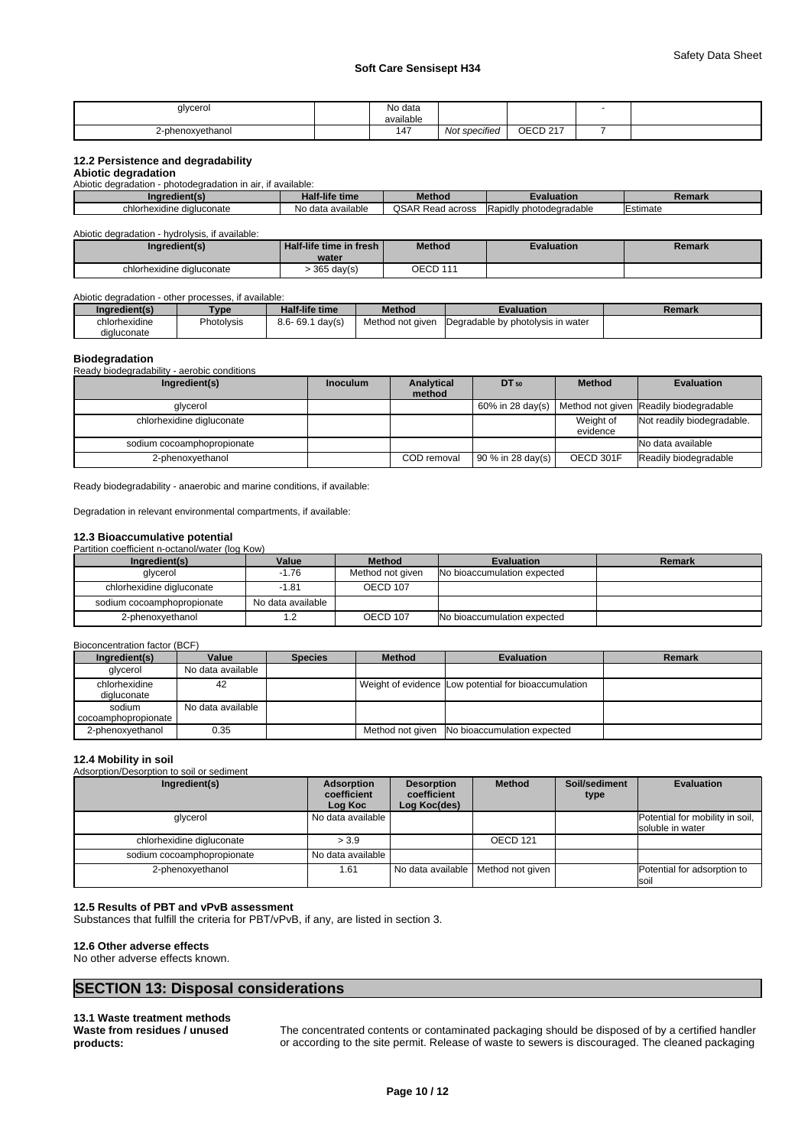| glycero<br>ັ    | . .<br>No data<br>$\cdots$      |                                 |                               |  |
|-----------------|---------------------------------|---------------------------------|-------------------------------|--|
|                 | available                       |                                 |                               |  |
| ·phenoxyethanol | $\overline{\phantom{a}}$<br>14. | $\cdot$ .<br>t specified<br>Not | OFCD 217<br>cvu<br>$\epsilon$ |  |

### **12.2 Persistence and degradability**

### **Abiotic degradation**

Abiotic degradation - photodegradation in air, if available:

| Inc<br>$\sim$             | $\cdots$<br>-life time<br>. Idir | <b>hou</b>                   | ™atio⊾                               | nmor.<br>. .<br>чена к |
|---------------------------|----------------------------------|------------------------------|--------------------------------------|------------------------|
| chlorhexidine digluconate | ≅ilable.<br>ı ava<br>Nc.<br>data | <b>OSAR R</b><br>Read across | / photodegradable<br><b>IRapidly</b> | Estimate               |

Abiotic degradation - hydrolysis, if available:

| Ingredient(s)             | Half-life time in fresh | <b>Method</b> | Evaluation | Remark |
|---------------------------|-------------------------|---------------|------------|--------|
|                           | water                   |               |            |        |
| chlorhexidine digluconate | $365$ day(s)            | OECD 111      |            |        |

Abiotic degradation - other processes, if available:

| Inaredient(s)             | Type       | <b>Half-life time</b>  | <b>Method</b>    | Evaluation                         | Remark |
|---------------------------|------------|------------------------|------------------|------------------------------------|--------|
| $\cdots$<br>chlorhexidine | Photolysis | $8.6 - 69.1$<br>dav(s) | Method not given | IDegradable by photolysis in water |        |
| digluconate               |            |                        |                  |                                    |        |

### **Biodegradation**

Ready biodegradability - aerobic conditions

| Ingredient(s)              | <b>Inoculum</b> | Analytical  | $DT_{50}$            | <b>Method</b>         | <b>Evaluation</b>                                           |
|----------------------------|-----------------|-------------|----------------------|-----------------------|-------------------------------------------------------------|
| glycerol                   |                 | method      |                      |                       | 60% in 28 day(s)   Method not given   Readily biodegradable |
| chlorhexidine digluconate  |                 |             |                      | Weight of<br>evidence | Not readily biodegradable.                                  |
| sodium cocoamphopropionate |                 |             |                      |                       | No data available                                           |
| 2-phenoxyethanol           |                 | COD removal | $90 \%$ in 28 day(s) | OECD 301F             | Readily biodegradable                                       |

Ready biodegradability - anaerobic and marine conditions, if available:

Degradation in relevant environmental compartments, if available:

### **12.3 Bioaccumulative potential**

Partition coefficient n-octanol/water (log Kow)

| Ingredient(s)              | Value             | <b>Method</b>    | <b>Evaluation</b>           | Remark |
|----------------------------|-------------------|------------------|-----------------------------|--------|
| alvcerol                   | -1.76             | Method not given | No bioaccumulation expected |        |
| chlorhexidine digluconate  | $-1.81$           | OECD 107         |                             |        |
| sodium cocoamphopropionate | No data available |                  |                             |        |
| 2-phenoxvethanol           |                   | OECD 107         | No bioaccumulation expected |        |

### Bioconcentration factor (BCF)

| Ingredient(s)                 | Value             | <b>Species</b> | <b>Method</b> | <b>Evaluation</b>                                    | Remark |
|-------------------------------|-------------------|----------------|---------------|------------------------------------------------------|--------|
| alvcerol                      | No data available |                |               |                                                      |        |
| chlorhexidine<br>digluconate  | 42                |                |               | Weight of evidence Low potential for bioaccumulation |        |
| sodium<br>cocoamphopropionate | No data available |                |               |                                                      |        |
| 2-phenoxvethanol              | 0.35              |                |               | Method not given No bioaccumulation expected         |        |

### **12.4 Mobility in soil**

Adsorption/Desorption to soil or sediment

| Ingredient(s)              | Adsorption<br>coefficient<br>Log Koc | <b>Desorption</b><br>coefficient<br>Log Koc(des) | <b>Method</b>                        | Soil/sediment<br>type | <b>Evaluation</b>                                   |
|----------------------------|--------------------------------------|--------------------------------------------------|--------------------------------------|-----------------------|-----------------------------------------------------|
| glycerol                   | No data available                    |                                                  |                                      |                       | Potential for mobility in soil,<br>soluble in water |
| chlorhexidine digluconate  | > 3.9                                |                                                  | OECD <sub>121</sub>                  |                       |                                                     |
| sodium cocoamphopropionate | No data available                    |                                                  |                                      |                       |                                                     |
| 2-phenoxyethanol           | 1.61                                 |                                                  | No data available   Method not given |                       | Potential for adsorption to<br>soil                 |

### **12.5 Results of PBT and vPvB assessment**

Substances that fulfill the criteria for PBT/vPvB, if any, are listed in section 3.

### **12.6 Other adverse effects**

No other adverse effects known.

### **SECTION 13: Disposal considerations**

**13.1 Waste treatment methods Waste from residues / unused products:**

The concentrated contents or contaminated packaging should be disposed of by a certified handler or according to the site permit. Release of waste to sewers is discouraged. The cleaned packaging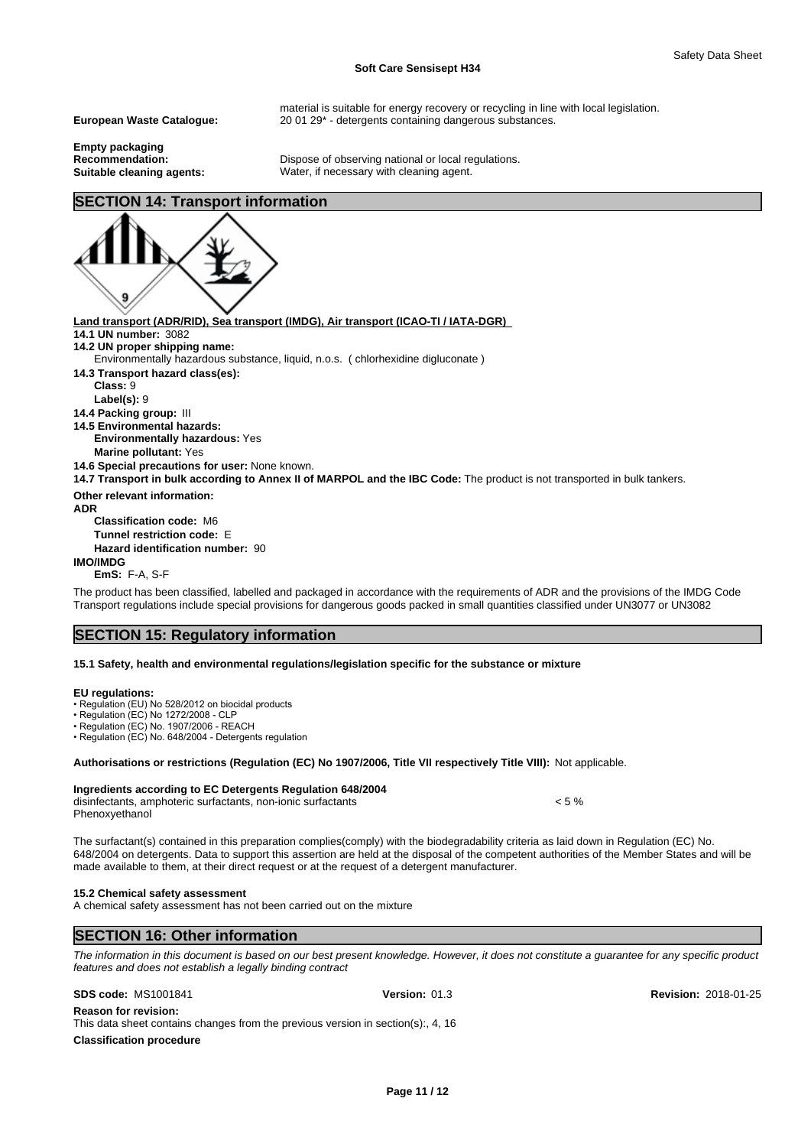material is suitable for energy recovery or recycling in line with local legislation. **European Waste Catalogue:** 20 01 29\* - detergents containing dangerous substances.

**Empty packaging**

**Recommendation:** Dispose of observing national or local regulations.<br> **Suitable cleaning agents:** Water, if necessary with cleaning agent. Water, if necessary with cleaning agent.

# **SECTION 14: Transport information**



**Land transport (ADR/RID), Sea transport (IMDG), Air transport (ICAO-TI / IATA-DGR) 14.1 UN number:** 3082 **14.2 UN proper shipping name: 14.3 Transport hazard class(es): Class:** 9 **Label(s):** 9 **14.4 Packing group:** III **14.5 Environmental hazards: Environmentally hazardous:** Yes **Marine pollutant:** Yes **14.6 Special precautions for user:** None known. **14.7 Transport in bulk according to Annex II of MARPOL and the IBC Code:** The product is not transported in bulk tankers. **Other relevant information: ADR Classification code:** M6 **Tunnel restriction code:** E Environmentally hazardous substance, liquid, n.o.s. ( chlorhexidine digluconate )

**Hazard identification number:** 90

**IMO/IMDG**

**EmS:** F-A, S-F

The product has been classified, labelled and packaged in accordance with the requirements of ADR and the provisions of the IMDG Code Transport regulations include special provisions for dangerous goods packed in small quantities classified under UN3077 or UN3082

### **SECTION 15: Regulatory information**

### **15.1 Safety, health and environmental regulations/legislation specific for the substance or mixture**

### **EU regulations:**

Phenoxyethanol

• Regulation (EU) No 528/2012 on biocidal products

• Regulation (EC) No 1272/2008 - CLP

• Regulation (EC) No. 1907/2006 - REACH

• Regulation (EC) No. 648/2004 - Detergents regulation

**Authorisations or restrictions (Regulation (EC) No 1907/2006, Title VII respectively Title VIII):** Not applicable.

### **Ingredients according to EC Detergents Regulation 648/2004**

disinfectants, amphoteric surfactants, non-ionic surfactants < 5 %

The surfactant(s) contained in this preparation complies(comply) with the biodegradability criteria as laid down in Regulation (EC) No. 648/2004 on detergents. Data to support this assertion are held at the disposal of the competent authorities of the Member States and will be made available to them, at their direct request or at the request of a detergent manufacturer.

### **15.2 Chemical safety assessment**

A chemical safety assessment has not been carried out on the mixture

### **SECTION 16: Other information**

*The information in this document is based on our best present knowledge. However, it does not constitute a guarantee for any specific product features and does not establish a legally binding contract*

**SDS code:** MS1001841 **Version:** 01.3 **Revision:** 2018-01-25

**Reason for revision:** This data sheet contains changes from the previous version in section(s):, 4, 16

**Classification procedure**